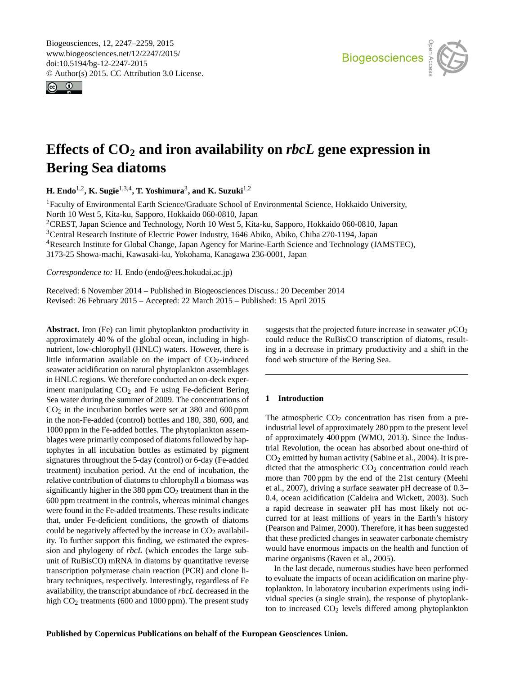<span id="page-0-1"></span>Biogeosciences, 12, 2247–2259, 2015 www.biogeosciences.net/12/2247/2015/ doi:10.5194/bg-12-2247-2015 © Author(s) 2015. CC Attribution 3.0 License.





# **Effects of CO<sup>2</sup> and iron availability on** *rbcL* **gene expression in Bering Sea diatoms**

**H. Endo**[1,2](#page-0-0) **, K. Sugie**[1,3,4](#page-0-0) **, T. Yoshimura**[3](#page-0-0) **, and K. Suzuki**[1,2](#page-0-0)

<sup>1</sup>Faculty of Environmental Earth Science/Graduate School of Environmental Science, Hokkaido University, North 10 West 5, Kita-ku, Sapporo, Hokkaido 060-0810, Japan

<sup>2</sup>CREST, Japan Science and Technology, North 10 West 5, Kita-ku, Sapporo, Hokkaido 060-0810, Japan

<sup>3</sup>Central Research Institute of Electric Power Industry, 1646 Abiko, Abiko, Chiba 270-1194, Japan

<sup>4</sup>Research Institute for Global Change, Japan Agency for Marine-Earth Science and Technology (JAMSTEC),

3173-25 Showa-machi, Kawasaki-ku, Yokohama, Kanagawa 236-0001, Japan

*Correspondence to:* H. Endo (endo@ees.hokudai.ac.jp)

Received: 6 November 2014 – Published in Biogeosciences Discuss.: 20 December 2014 Revised: 26 February 2015 – Accepted: 22 March 2015 – Published: 15 April 2015

<span id="page-0-0"></span>**Abstract.** Iron (Fe) can limit phytoplankton productivity in approximately 40 % of the global ocean, including in highnutrient, low-chlorophyll (HNLC) waters. However, there is little information available on the impact of  $CO<sub>2</sub>$ -induced seawater acidification on natural phytoplankton assemblages in HNLC regions. We therefore conducted an on-deck experiment manipulating  $CO<sub>2</sub>$  and Fe using Fe-deficient Bering Sea water during the summer of 2009. The concentrations of  $CO<sub>2</sub>$  in the incubation bottles were set at 380 and 600 ppm in the non-Fe-added (control) bottles and 180, 380, 600, and 1000 ppm in the Fe-added bottles. The phytoplankton assemblages were primarily composed of diatoms followed by haptophytes in all incubation bottles as estimated by pigment signatures throughout the 5-day (control) or 6-day (Fe-added treatment) incubation period. At the end of incubation, the relative contribution of diatoms to chlorophyll a biomass was significantly higher in the 380 ppm  $CO<sub>2</sub>$  treatment than in the 600 ppm treatment in the controls, whereas minimal changes were found in the Fe-added treatments. These results indicate that, under Fe-deficient conditions, the growth of diatoms could be negatively affected by the increase in  $CO<sub>2</sub>$  availability. To further support this finding, we estimated the expression and phylogeny of *rbcL* (which encodes the large subunit of RuBisCO) mRNA in diatoms by quantitative reverse transcription polymerase chain reaction (PCR) and clone library techniques, respectively. Interestingly, regardless of Fe availability, the transcript abundance of *rbcL* decreased in the high CO<sub>2</sub> treatments (600 and 1000 ppm). The present study

suggests that the projected future increase in seawater  $pCO<sub>2</sub>$ could reduce the RuBisCO transcription of diatoms, resulting in a decrease in primary productivity and a shift in the food web structure of the Bering Sea.

# **1 Introduction**

The atmospheric  $CO<sub>2</sub>$  concentration has risen from a preindustrial level of approximately 280 ppm to the present level of approximately 400 ppm (WMO, 2013). Since the Industrial Revolution, the ocean has absorbed about one-third of  $CO<sub>2</sub>$  emitted by human activity (Sabine et al., 2004). It is predicted that the atmospheric  $CO<sub>2</sub>$  concentration could reach more than 700 ppm by the end of the 21st century (Meehl et al., 2007), driving a surface seawater pH decrease of 0.3– 0.4, ocean acidification (Caldeira and Wickett, 2003). Such a rapid decrease in seawater pH has most likely not occurred for at least millions of years in the Earth's history (Pearson and Palmer, 2000). Therefore, it has been suggested that these predicted changes in seawater carbonate chemistry would have enormous impacts on the health and function of marine organisms (Raven et al., 2005).

In the last decade, numerous studies have been performed to evaluate the impacts of ocean acidification on marine phytoplankton. In laboratory incubation experiments using individual species (a single strain), the response of phytoplankton to increased CO<sub>2</sub> levels differed among phytoplankton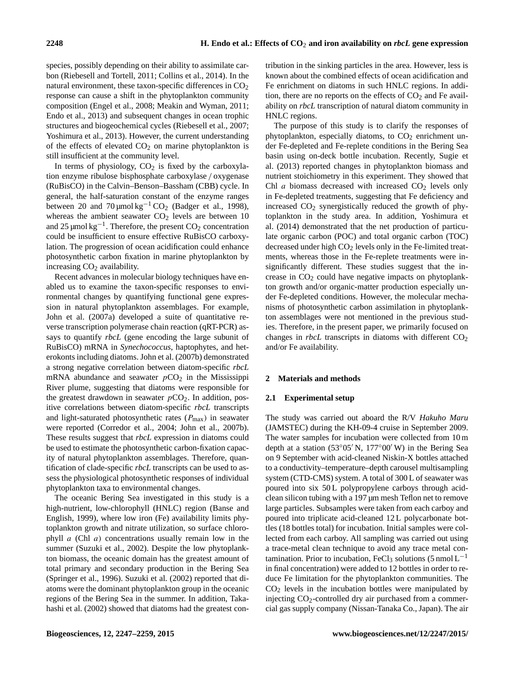species, possibly depending on their ability to assimilate carbon (Riebesell and Tortell, 2011; Collins et al., 2014). In the natural environment, these taxon-specific differences in  $CO<sub>2</sub>$ response can cause a shift in the phytoplankton community composition (Engel et al., 2008; Meakin and Wyman, 2011; Endo et al., 2013) and subsequent changes in ocean trophic structures and biogeochemical cycles (Riebesell et al., 2007; Yoshimura et al., 2013). However, the current understanding of the effects of elevated  $CO<sub>2</sub>$  on marine phytoplankton is still insufficient at the community level.

In terms of physiology,  $CO<sub>2</sub>$  is fixed by the carboxylation enzyme ribulose bisphosphate carboxylase / oxygenase (RuBisCO) in the Calvin–Benson–Bassham (CBB) cycle. In general, the half-saturation constant of the enzyme ranges between 20 and 70 µmol kg<sup>-1</sup> CO<sub>2</sub> (Badger et al., 1998), whereas the ambient seawater  $CO<sub>2</sub>$  levels are between 10 and 25 µmol  $kg^{-1}$ . Therefore, the present  $CO_2$  concentration could be insufficient to ensure effective RuBisCO carboxylation. The progression of ocean acidification could enhance photosynthetic carbon fixation in marine phytoplankton by increasing  $CO<sub>2</sub>$  availability.

Recent advances in molecular biology techniques have enabled us to examine the taxon-specific responses to environmental changes by quantifying functional gene expression in natural phytoplankton assemblages. For example, John et al. (2007a) developed a suite of quantitative reverse transcription polymerase chain reaction (qRT-PCR) assays to quantify *rbcL* (gene encoding the large subunit of RuBisCO) mRNA in *Synechococcus*, haptophytes, and heterokonts including diatoms. John et al. (2007b) demonstrated a strong negative correlation between diatom-specific *rbcL* mRNA abundance and seawater  $pCO<sub>2</sub>$  in the Mississippi River plume, suggesting that diatoms were responsible for the greatest drawdown in seawater  $pCO<sub>2</sub>$ . In addition, positive correlations between diatom-specific *rbcL* transcripts and light-saturated photosynthetic rates  $(P_{\text{max}})$  in seawater were reported (Corredor et al., 2004; John et al., 2007b). These results suggest that *rbcL* expression in diatoms could be used to estimate the photosynthetic carbon-fixation capacity of natural phytoplankton assemblages. Therefore, quantification of clade-specific *rbcL* transcripts can be used to assess the physiological photosynthetic responses of individual phytoplankton taxa to environmental changes.

The oceanic Bering Sea investigated in this study is a high-nutrient, low-chlorophyll (HNLC) region (Banse and English, 1999), where low iron (Fe) availability limits phytoplankton growth and nitrate utilization, so surface chlorophyll  $a$  (Chl  $a$ ) concentrations usually remain low in the summer (Suzuki et al., 2002). Despite the low phytoplankton biomass, the oceanic domain has the greatest amount of total primary and secondary production in the Bering Sea (Springer et al., 1996). Suzuki et al. (2002) reported that diatoms were the dominant phytoplankton group in the oceanic regions of the Bering Sea in the summer. In addition, Takahashi et al. (2002) showed that diatoms had the greatest contribution in the sinking particles in the area. However, less is known about the combined effects of ocean acidification and Fe enrichment on diatoms in such HNLC regions. In addition, there are no reports on the effects of  $CO<sub>2</sub>$  and Fe availability on *rbcL* transcription of natural diatom community in HNLC regions.

The purpose of this study is to clarify the responses of phytoplankton, especially diatoms, to  $CO<sub>2</sub>$  enrichment under Fe-depleted and Fe-replete conditions in the Bering Sea basin using on-deck bottle incubation. Recently, Sugie et al. (2013) reported changes in phytoplankton biomass and nutrient stoichiometry in this experiment. They showed that Chl  $a$  biomass decreased with increased  $CO<sub>2</sub>$  levels only in Fe-depleted treatments, suggesting that Fe deficiency and increased  $CO<sub>2</sub>$  synergistically reduced the growth of phytoplankton in the study area. In addition, Yoshimura et al. (2014) demonstrated that the net production of particulate organic carbon (POC) and total organic carbon (TOC) decreased under high  $CO<sub>2</sub>$  levels only in the Fe-limited treatments, whereas those in the Fe-replete treatments were insignificantly different. These studies suggest that the increase in  $CO<sub>2</sub>$  could have negative impacts on phytoplankton growth and/or organic-matter production especially under Fe-depleted conditions. However, the molecular mechanisms of photosynthetic carbon assimilation in phytoplankton assemblages were not mentioned in the previous studies. Therefore, in the present paper, we primarily focused on changes in *rbcL* transcripts in diatoms with different  $CO<sub>2</sub>$ and/or Fe availability.

# **2 Materials and methods**

#### **2.1 Experimental setup**

The study was carried out aboard the R/V *Hakuho Maru* (JAMSTEC) during the KH-09-4 cruise in September 2009. The water samples for incubation were collected from 10 m depth at a station (53 $\degree$ 05' N, 177 $\degree$ 00' W) in the Bering Sea on 9 September with acid-cleaned Niskin-X bottles attached to a conductivity–temperature–depth carousel multisampling system (CTD-CMS) system. A total of 300 L of seawater was poured into six 50 L polypropylene carboys through acidclean silicon tubing with a 197 µm mesh Teflon net to remove large particles. Subsamples were taken from each carboy and poured into triplicate acid-cleaned 12 L polycarbonate bottles (18 bottles total) for incubation. Initial samples were collected from each carboy. All sampling was carried out using a trace-metal clean technique to avoid any trace metal contamination. Prior to incubation, FeCl<sub>3</sub> solutions (5 nmol  $L^{-1}$ in final concentration) were added to 12 bottles in order to reduce Fe limitation for the phytoplankton communities. The  $CO<sub>2</sub>$  levels in the incubation bottles were manipulated by injecting  $CO_2$ -controlled dry air purchased from a commercial gas supply company (Nissan-Tanaka Co., Japan). The air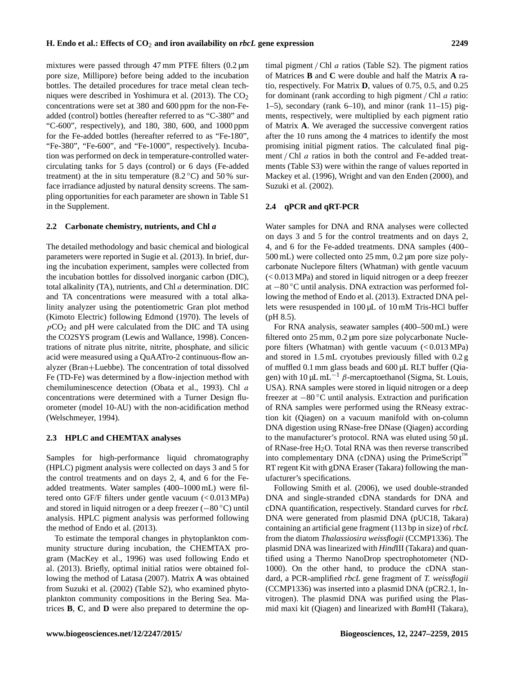mixtures were passed through 47 mm PTFE filters  $(0.2 \mu m)$ pore size, Millipore) before being added to the incubation bottles. The detailed procedures for trace metal clean techniques were described in Yoshimura et al.  $(2013)$ . The  $CO<sub>2</sub>$ concentrations were set at 380 and 600 ppm for the non-Feadded (control) bottles (hereafter referred to as "C-380" and "C-600", respectively), and 180, 380, 600, and 1000 ppm for the Fe-added bottles (hereafter referred to as "Fe-180", "Fe-380", "Fe-600", and "Fe-1000", respectively). Incubation was performed on deck in temperature-controlled watercirculating tanks for 5 days (control) or 6 days (Fe-added treatment) at the in situ temperature  $(8.2 \degree C)$  and 50 % surface irradiance adjusted by natural density screens. The sampling opportunities for each parameter are shown in Table S1 in the Supplement.

#### **2.2 Carbonate chemistry, nutrients, and Chl** *a*

The detailed methodology and basic chemical and biological parameters were reported in Sugie et al. (2013). In brief, during the incubation experiment, samples were collected from the incubation bottles for dissolved inorganic carbon (DIC), total alkalinity (TA), nutrients, and Chl a determination. DIC and TA concentrations were measured with a total alkalinity analyzer using the potentiometric Gran plot method (Kimoto Electric) following Edmond (1970). The levels of  $pCO<sub>2</sub>$  and pH were calculated from the DIC and TA using the CO2SYS program (Lewis and Wallance, 1998). Concentrations of nitrate plus nitrite, nitrite, phosphate, and silicic acid were measured using a QuAATro-2 continuous-flow analyzer (Bran+Luebbe). The concentration of total dissolved Fe (TD-Fe) was determined by a flow-injection method with chemiluminescence detection (Obata et al., 1993). Chl a concentrations were determined with a Turner Design fluorometer (model 10-AU) with the non-acidification method (Welschmeyer, 1994).

#### **2.3 HPLC and CHEMTAX analyses**

Samples for high-performance liquid chromatography (HPLC) pigment analysis were collected on days 3 and 5 for the control treatments and on days 2, 4, and 6 for the Feadded treatments. Water samples (400–1000 mL) were filtered onto GF/F filters under gentle vacuum (< 0.013 MPa) and stored in liquid nitrogen or a deep freezer (−80 ◦C) until analysis. HPLC pigment analysis was performed following the method of Endo et al. (2013).

To estimate the temporal changes in phytoplankton community structure during incubation, the CHEMTAX program (MacKey et al., 1996) was used following Endo et al. (2013). Briefly, optimal initial ratios were obtained following the method of Latasa (2007). Matrix **A** was obtained from Suzuki et al. (2002) (Table S2), who examined phytoplankton community compositions in the Bering Sea. Matrices **B**, **C**, and **D** were also prepared to determine the optimal pigment / Chl  $a$  ratios (Table S2). The pigment ratios of Matrices **B** and **C** were double and half the Matrix **A** ratio, respectively. For Matrix **D**, values of 0.75, 0.5, and 0.25 for dominant (rank according to high pigment / Chl  $a$  ratio: 1–5), secondary (rank  $6-10$ ), and minor (rank  $11-15$ ) pigments, respectively, were multiplied by each pigment ratio of Matrix **A**. We averaged the successive convergent ratios after the 10 runs among the 4 matrices to identify the most promising initial pigment ratios. The calculated final pigment / Chl *a* ratios in both the control and Fe-added treatments (Table S3) were within the range of values reported in Mackey et al. (1996), Wright and van den Enden (2000), and Suzuki et al. (2002).

# **2.4 qPCR and qRT-PCR**

Water samples for DNA and RNA analyses were collected on days 3 and 5 for the control treatments and on days 2, 4, and 6 for the Fe-added treatments. DNA samples (400– 500 mL) were collected onto 25 mm, 0.2 µm pore size polycarbonate Nuclepore filters (Whatman) with gentle vacuum (< 0.013 MPa) and stored in liquid nitrogen or a deep freezer at −80 ◦C until analysis. DNA extraction was performed following the method of Endo et al. (2013). Extracted DNA pellets were resuspended in 100 µL of 10 mM Tris-HCl buffer (pH 8.5).

For RNA analysis, seawater samples (400–500 mL) were filtered onto 25 mm, 0.2 µm pore size polycarbonate Nuclepore filters (Whatman) with gentle vacuum (< 0.013 MPa) and stored in 1.5 mL cryotubes previously filled with 0.2 g of muffled 0.1 mm glass beads and 600 µL RLT buffer (Qiagen) with  $10 \mu L$  mL<sup>-1</sup> β-mercaptoethanol (Sigma, St. Louis, USA). RNA samples were stored in liquid nitrogen or a deep freezer at −80 ◦C until analysis. Extraction and purification of RNA samples were performed using the RNeasy extraction kit (Qiagen) on a vacuum manifold with on-column DNA digestion using RNase-free DNase (Qiagen) according to the manufacturer's protocol. RNA was eluted using 50 µL of RNase-free  $H<sub>2</sub>O$ . Total RNA was then reverse transcribed into complementary DNA (cDNA) using the PrimeScript<sup>™</sup> RT regent Kit with gDNA Eraser (Takara) following the manufacturer's specifications.

Following Smith et al. (2006), we used double-stranded DNA and single-stranded cDNA standards for DNA and cDNA quantification, respectively. Standard curves for *rbcL* DNA were generated from plasmid DNA (pUC18, Takara) containing an artificial gene fragment (113 bp in size) of *rbcL* from the diatom *Thalassiosira weissflogii* (CCMP1336). The plasmid DNA was linearized with *Hind*III (Takara) and quantified using a Thermo NanoDrop spectrophotometer (ND-1000). On the other hand, to produce the cDNA standard, a PCR-amplified *rbcL* gene fragment of *T. weissflogii* (CCMP1336) was inserted into a plasmid DNA (pCR2.1, Invitrogen). The plasmid DNA was purified using the Plasmid maxi kit (Qiagen) and linearized with *Bam*HI (Takara),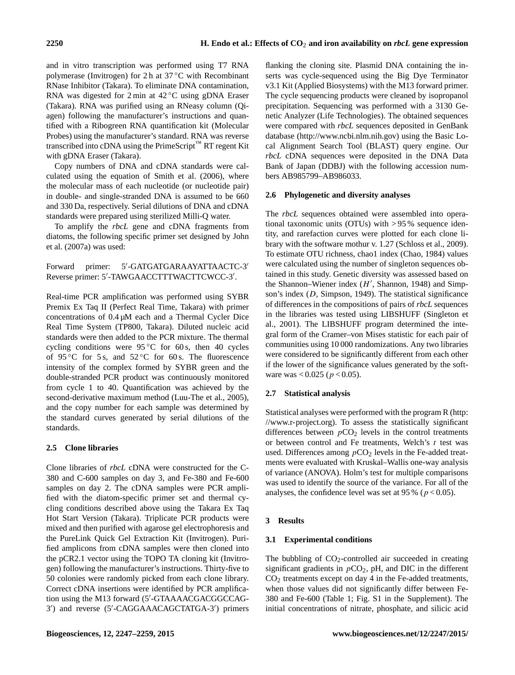and in vitro transcription was performed using T7 RNA polymerase (Invitrogen) for 2 h at 37 °C with Recombinant RNase Inhibitor (Takara). To eliminate DNA contamination, RNA was digested for 2 min at 42 ◦C using gDNA Eraser (Takara). RNA was purified using an RNeasy column (Qiagen) following the manufacturer's instructions and quantified with a Ribogreen RNA quantification kit (Molecular Probes) using the manufacturer's standard. RNA was reverse transcribed into cDNA using the PrimeScript<sup>™</sup> RT regent Kit with gDNA Eraser (Takara).

Copy numbers of DNA and cDNA standards were calculated using the equation of Smith et al. (2006), where the molecular mass of each nucleotide (or nucleotide pair) in double- and single-stranded DNA is assumed to be 660 and 330 Da, respectively. Serial dilutions of DNA and cDNA standards were prepared using sterilized Milli-Q water.

To amplify the *rbcL* gene and cDNA fragments from diatoms, the following specific primer set designed by John et al. (2007a) was used:

Forward primer: 5'-GATGATGARAAYATTAACTC-3' Reverse primer: 5'-TAWGAACCTTTWACTTCWCC-3'.

Real-time PCR amplification was performed using SYBR Premix Ex Taq II (Perfect Real Time, Takara) with primer concentrations of 0.4 µM each and a Thermal Cycler Dice Real Time System (TP800, Takara). Diluted nucleic acid standards were then added to the PCR mixture. The thermal cycling conditions were  $95^{\circ}$ C for 60 s, then 40 cycles of 95 °C for 5 s, and  $52$  °C for 60 s. The fluorescence intensity of the complex formed by SYBR green and the double-stranded PCR product was continuously monitored from cycle 1 to 40. Quantification was achieved by the second-derivative maximum method (Luu-The et al., 2005), and the copy number for each sample was determined by the standard curves generated by serial dilutions of the standards.

# **2.5 Clone libraries**

Clone libraries of *rbcL* cDNA were constructed for the C-380 and C-600 samples on day 3, and Fe-380 and Fe-600 samples on day 2. The cDNA samples were PCR amplified with the diatom-specific primer set and thermal cycling conditions described above using the Takara Ex Taq Hot Start Version (Takara). Triplicate PCR products were mixed and then purified with agarose gel electrophoresis and the PureLink Quick Gel Extraction Kit (Invitrogen). Purified amplicons from cDNA samples were then cloned into the pCR2.1 vector using the TOPO TA cloning kit (Invitrogen) following the manufacturer's instructions. Thirty-five to 50 colonies were randomly picked from each clone library. Correct cDNA insertions were identified by PCR amplification using the M13 forward (5'-GTAAAACGACGGCCAG-3') and reverse (5'-CAGGAAACAGCTATGA-3') primers

flanking the cloning site. Plasmid DNA containing the inserts was cycle-sequenced using the Big Dye Terminator v3.1 Kit (Applied Biosystems) with the M13 forward primer. The cycle sequencing products were cleaned by isopropanol precipitation. Sequencing was performed with a 3130 Genetic Analyzer (Life Technologies). The obtained sequences were compared with *rbcL* sequences deposited in GenBank database [\(http://www.ncbi.nlm.nih.gov\)](http://www.ncbi.nlm.nih.gov) using the Basic Local Alignment Search Tool (BLAST) query engine. Our *rbcL* cDNA sequences were deposited in the DNA Data Bank of Japan (DDBJ) with the following accession numbers AB985799–AB986033.

# **2.6 Phylogenetic and diversity analyses**

The *rbcL* sequences obtained were assembled into operational taxonomic units (OTUs) with > 95 % sequence identity, and rarefaction curves were plotted for each clone library with the software mothur v. 1.27 (Schloss et al., 2009). To estimate OTU richness, chao1 index (Chao, 1984) values were calculated using the number of singleton sequences obtained in this study. Genetic diversity was assessed based on the Shannon-Wiener index  $(H',$  Shannon, 1948) and Simpson's index (D, Simpson, 1949). The statistical significance of differences in the compositions of pairs of *rbcL* sequences in the libraries was tested using LIBSHUFF (Singleton et al., 2001). The LIBSHUFF program determined the integral form of the Cramer–von Mises statistic for each pair of communities using 10 000 randomizations. Any two libraries were considered to be significantly different from each other if the lower of the significance values generated by the software was <  $0.025$  ( $p < 0.05$ ).

# **2.7 Statistical analysis**

Statistical analyses were performed with the program R [\(http:](http://www.r-project.org) [//www.r-project.org\)](http://www.r-project.org). To assess the statistically significant differences between  $pCO<sub>2</sub>$  levels in the control treatments or between control and Fe treatments, Welch's  $t$  test was used. Differences among  $pCO<sub>2</sub>$  levels in the Fe-added treatments were evaluated with Kruskal–Wallis one-way analysis of variance (ANOVA). Holm's test for multiple comparisons was used to identify the source of the variance. For all of the analyses, the confidence level was set at 95 % ( $p < 0.05$ ).

# **3 Results**

# **3.1 Experimental conditions**

The bubbling of  $CO_2$ -controlled air succeeded in creating significant gradients in  $pCO<sub>2</sub>$ , pH, and DIC in the different  $CO<sub>2</sub>$  treatments except on day 4 in the Fe-added treatments, when those values did not significantly differ between Fe-380 and Fe-600 (Table 1; Fig. S1 in the Supplement). The initial concentrations of nitrate, phosphate, and silicic acid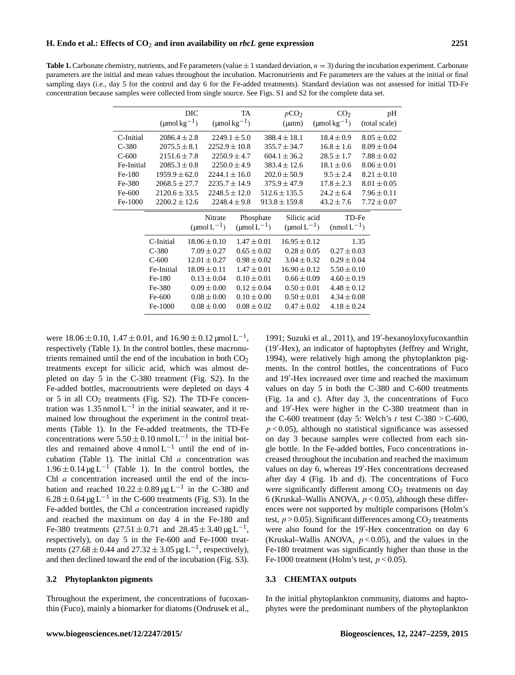**Table 1.** Carbonate chemistry, nutrients, and Fe parameters (value  $\pm$  1 standard deviation,  $n = 3$ ) during the incubation experiment. Carbonate parameters are the initial and mean values throughout the incubation. Macronutrients and Fe parameters are the values at the initial or final sampling days (i.e., day 5 for the control and day 6 for the Fe-added treatments). Standard deviation was not assessed for initial TD-Fe concentration because samples were collected from single source. See Figs. S1 and S2 for the complete data set.

|            | $(\text{µmol}\,\text{kg}^{-1})$                                                                                      | DIC |                        | TA<br>$(\text{µmol}\,\text{kg}^{-1})$ |                        | pCO <sub>2</sub><br>$($ $\mu$ atm $)$ |  | CO <sub>2</sub><br>$(\text{µmol}\,\text{kg}^{-1})$ | pH<br>(total scale) |
|------------|----------------------------------------------------------------------------------------------------------------------|-----|------------------------|---------------------------------------|------------------------|---------------------------------------|--|----------------------------------------------------|---------------------|
| C-Initial  | $2086.4 \pm 2.8$                                                                                                     |     |                        | $2249.1 \pm 5.0$                      |                        | $388.4 \pm 18.1$                      |  | $18.4 \pm 0.9$                                     | $8.05 \pm 0.02$     |
| $C-380$    | $2075.5 \pm 8.1$                                                                                                     |     | $2252.9 \pm 10.8$      |                                       |                        | $355.7 \pm 34.7$                      |  | $16.8 \pm 1.6$                                     | $8.09 \pm 0.04$     |
| $C-600$    | $2151.6 \pm 7.8$                                                                                                     |     |                        | $2250.9 \pm 4.7$                      |                        | $604.1 \pm 36.2$                      |  | $28.5 \pm 1.7$                                     | $7.88 \pm 0.02$     |
| Fe-Initial | $2085.3 \pm 0.8$                                                                                                     |     |                        | $2250.0 \pm 4.9$                      |                        | $383.4 \pm 12.6$                      |  | $18.1 \pm 0.6$                                     | $8.06 \pm 0.01$     |
| Fe-180     | $1959.9 \pm 62.0$                                                                                                    |     | $2244.1 \pm 16.0$      |                                       |                        | $202.0 \pm 50.9$                      |  | $9.5 \pm 2.4$                                      | $8.21 \pm 0.10$     |
| Fe-380     | $2068.5 \pm 27.7$                                                                                                    |     | $2235.7 \pm 14.9$      |                                       |                        | $375.9 \pm 47.9$                      |  | $17.8 \pm 2.3$                                     | $8.01 \pm 0.05$     |
| Fe-600     | $2120.6 \pm 33.5$                                                                                                    |     | $2248.5 \pm 12.0$      |                                       |                        | $512.6 \pm 135.5$                     |  | $24.2 \pm 6.4$                                     | $7.96 \pm 0.11$     |
| Fe-1000    | $2200.2 \pm 12.6$                                                                                                    |     |                        | $2248.4 \pm 9.8$                      |                        | $913.8 \pm 159.8$                     |  | $43.2 \pm 7.6$                                     | $7.72 \pm 0.07$     |
|            |                                                                                                                      |     | Nitrate                |                                       | Phosphate              | Silicic acid                          |  | TD-Fe                                              |                     |
|            | $(\text{µmol L}^{-1})$<br>C-Initial<br>$18.06 \pm 0.10$<br>$7.09 \pm 0.27$<br>$C-380$<br>$C-600$<br>$12.01 \pm 0.27$ |     | $(\text{µmol L}^{-1})$ |                                       | $(\text{µmol L}^{-1})$ |                                       |  | $(mmolL^{-1})$                                     |                     |
|            |                                                                                                                      |     |                        | $1.47 \pm 0.01$<br>$0.65 \pm 0.02$    |                        | $16.95 \pm 0.12$<br>$0.28 \pm 0.05$   |  |                                                    | 1.35                |
|            |                                                                                                                      |     |                        |                                       |                        |                                       |  | $0.27 \pm 0.03$                                    |                     |
|            |                                                                                                                      |     |                        | $0.98 \pm 0.02$                       |                        | $3.04 \pm 0.32$                       |  | $0.29 \pm 0.04$                                    |                     |
|            | Fe-Initial                                                                                                           |     | $18.09 \pm 0.11$       | $1.47 \pm 0.01$                       |                        | $16.90 \pm 0.12$                      |  | $5.50 \pm 0.10$                                    |                     |
|            | Fe-180                                                                                                               |     | $0.13 \pm 0.04$        | $0.10 \pm 0.01$                       |                        | $0.66 \pm 0.09$                       |  | $4.60 \pm 0.19$                                    |                     |
|            | Fe-380                                                                                                               |     | $0.09 \pm 0.00$        | $0.12 \pm 0.04$                       |                        | $0.50 \pm 0.01$                       |  | $4.48 \pm 0.12$                                    |                     |
|            | Fe-600                                                                                                               |     | $0.08 \pm 0.00$        | $0.10 \pm 0.00$                       |                        | $0.50 \pm 0.01$                       |  | $4.34 \pm 0.08$                                    |                     |
|            | Fe-1000                                                                                                              |     | $0.08 \pm 0.00$        | $0.08 \pm 0.02$                       |                        | $0.47 \pm 0.02$                       |  | $4.18 \pm 0.24$                                    |                     |
|            |                                                                                                                      |     |                        |                                       |                        |                                       |  |                                                    |                     |

were  $18.06 \pm 0.10$ ,  $1.47 \pm 0.01$ , and  $16.90 \pm 0.12$  µmol  $L^{-1}$ , respectively (Table 1). In the control bottles, these macronutrients remained until the end of the incubation in both  $CO<sub>2</sub>$ treatments except for silicic acid, which was almost depleted on day 5 in the C-380 treatment (Fig. S2). In the Fe-added bottles, macronutrients were depleted on days 4 or 5 in all  $CO<sub>2</sub>$  treatments (Fig. S2). The TD-Fe concentration was 1.35 nmol  $L^{-1}$  in the initial seawater, and it remained low throughout the experiment in the control treatments (Table 1). In the Fe-added treatments, the TD-Fe concentrations were  $5.50 \pm 0.10$  nmol L<sup>-1</sup> in the initial bottles and remained above  $4 \text{ nmol } L^{-1}$  until the end of incubation (Table 1). The initial Chl  $a$  concentration was  $1.96 \pm 0.14 \,\text{µg L}^{-1}$  (Table 1). In the control bottles, the Chl a concentration increased until the end of the incubation and reached  $10.22 \pm 0.89 \,\mu g L^{-1}$  in the C-380 and  $6.28 \pm 0.64 \,\mathrm{\upmu}\mathrm{g}\,\mathrm{L}^{-1}$  in the C-600 treatments (Fig. S3). In the Fe-added bottles, the Chl a concentration increased rapidly and reached the maximum on day 4 in the Fe-180 and Fe-380 treatments  $(27.51 \pm 0.71$  and  $28.45 \pm 3.40$  µg L<sup>-1</sup>, respectively), on day 5 in the Fe-600 and Fe-1000 treatments  $(27.68 \pm 0.44$  and  $27.32 \pm 3.05$  µg L<sup>-1</sup>, respectively), and then declined toward the end of the incubation (Fig. S3).

#### **3.2 Phytoplankton pigments**

Throughout the experiment, the concentrations of fucoxanthin (Fuco), mainly a biomarker for diatoms (Ondrusek et al.,

1991; Suzuki et al., 2011), and 19'-hexanoyloxyfucoxanthin (19'-Hex), an indicator of haptophytes (Jeffrey and Wright, 1994), were relatively high among the phytoplankton pigments. In the control bottles, the concentrations of Fuco and 19'-Hex increased over time and reached the maximum values on day 5 in both the C-380 and C-600 treatments (Fig. 1a and c). After day 3, the concentrations of Fuco and 19'-Hex were higher in the C-380 treatment than in the C-600 treatment (day 5: Welch's t test C-380 > C-600,  $p < 0.05$ ), although no statistical significance was assessed on day 3 because samples were collected from each single bottle. In the Fe-added bottles, Fuco concentrations increased throughout the incubation and reached the maximum values on day 6, whereas 19'-Hex concentrations decreased after day 4 (Fig. 1b and d). The concentrations of Fuco were significantly different among  $CO<sub>2</sub>$  treatments on day 6 (Kruskal–Wallis ANOVA,  $p < 0.05$ ), although these differences were not supported by multiple comparisons (Holm's test,  $p > 0.05$ ). Significant differences among  $CO<sub>2</sub>$  treatments were also found for the 19'-Hex concentration on day 6 (Kruskal–Wallis ANOVA,  $p < 0.05$ ), and the values in the Fe-180 treatment was significantly higher than those in the Fe-1000 treatment (Holm's test,  $p < 0.05$ ).

#### **3.3 CHEMTAX outputs**

In the initial phytoplankton community, diatoms and haptophytes were the predominant numbers of the phytoplankton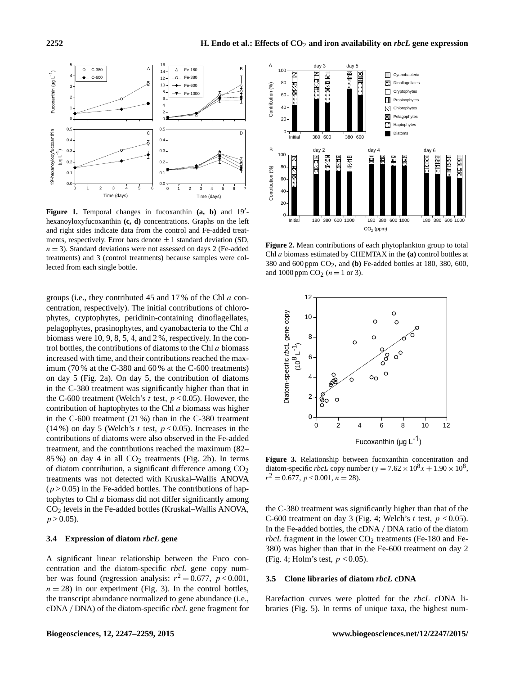

Figure 1. Temporal changes in fucoxanthin (a, b) and 19'hexanoyloxyfucoxanthin **(c, d)** concentrations. Graphs on the left and right sides indicate data from the control and Fe-added treatments, respectively. Error bars denote  $\pm 1$  standard deviation (SD,  $n = 3$ ). Standard deviations were not assessed on days 2 (Fe-added treatments) and 3 (control treatments) because samples were collected from each single bottle.

groups (i.e., they contributed 45 and 17 % of the Chl a concentration, respectively). The initial contributions of chlorophytes, cryptophytes, peridinin-containing dinoflagellates, pelagophytes, prasinophytes, and cyanobacteria to the Chl a biomass were 10, 9, 8, 5, 4, and 2 %, respectively. In the control bottles, the contributions of diatoms to the Chl  $a$  biomass increased with time, and their contributions reached the maximum (70 % at the C-380 and 60 % at the C-600 treatments) on day 5 (Fig. 2a). On day 5, the contribution of diatoms in the C-380 treatment was significantly higher than that in the C-600 treatment (Welch's t test,  $p < 0.05$ ). However, the contribution of haptophytes to the Chl a biomass was higher in the C-600 treatment (21 %) than in the C-380 treatment (14%) on day 5 (Welch's t test,  $p < 0.05$ ). Increases in the contributions of diatoms were also observed in the Fe-added treatment, and the contributions reached the maximum (82– 85 %) on day 4 in all  $CO<sub>2</sub>$  treatments (Fig. 2b). In terms of diatom contribution, a significant difference among  $CO<sub>2</sub>$ treatments was not detected with Kruskal–Wallis ANOVA  $(p > 0.05)$  in the Fe-added bottles. The contributions of haptophytes to Chl  $a$  biomass did not differ significantly among CO<sup>2</sup> levels in the Fe-added bottles (Kruskal–Wallis ANOVA,  $p > 0.05$ ).

# **3.4 Expression of diatom** *rbcL* **gene**

A significant linear relationship between the Fuco concentration and the diatom-specific *rbcL* gene copy number was found (regression analysis:  $r^2 = 0.677$ ,  $p < 0.001$ ,  $n = 28$ ) in our experiment (Fig. 3). In the control bottles, the transcript abundance normalized to gene abundance (i.e., cDNA / DNA) of the diatom-specific *rbcL* gene fragment for



**Figure 2.** Mean contributions of each phytoplankton group to total Chl a biomass estimated by CHEMTAX in the **(a)** control bottles at 380 and 600 ppm CO2, and **(b)** Fe-added bottles at 180, 380, 600, and 1000 ppm  $CO_2 (n = 1 \text{ or } 3)$ .



**Figure 3.** Relationship between fucoxanthin concentration and diatom-specific *rbcL* copy number ( $y = 7.62 \times 10^8 x + 1.90 \times 10^8$ ,  $r^2 = 0.677$ ,  $p < 0.001$ ,  $n = 28$ ).

the C-380 treatment was significantly higher than that of the C-600 treatment on day 3 (Fig. 4; Welch's t test,  $p < 0.05$ ). In the Fe-added bottles, the cDNA / DNA ratio of the diatom *rbcL* fragment in the lower  $CO<sub>2</sub>$  treatments (Fe-180 and Fe-380) was higher than that in the Fe-600 treatment on day 2 (Fig. 4; Holm's test,  $p < 0.05$ ).

#### **3.5 Clone libraries of diatom** *rbcL* **cDNA**

Rarefaction curves were plotted for the *rbcL* cDNA libraries (Fig. 5). In terms of unique taxa, the highest num-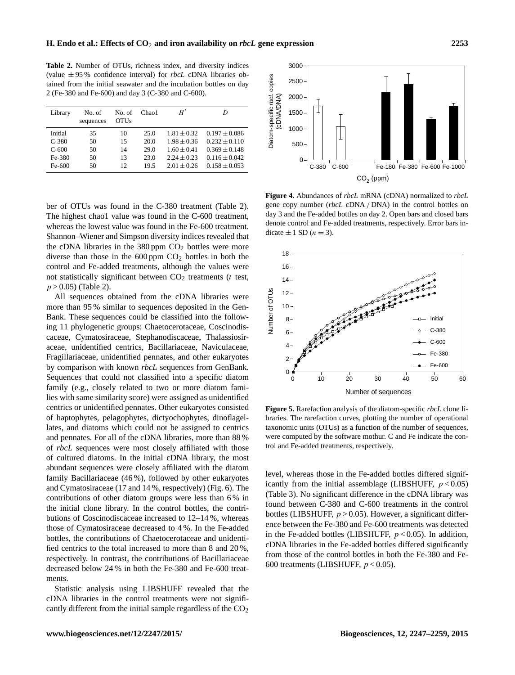**Table 2.** Number of OTUs, richness index, and diversity indices (value ± 95 % confidence interval) for *rbcL* cDNA libraries obtained from the initial seawater and the incubation bottles on day 2 (Fe-380 and Fe-600) and day 3 (C-380 and C-600).

| Library | No. of<br>sequences | No. of<br><b>OTUs</b> | Chao <sub>1</sub> | H'              | D                 |
|---------|---------------------|-----------------------|-------------------|-----------------|-------------------|
| Initial | 35                  | 10                    | 25.0              | $1.81 \pm 0.32$ | $0.197 \pm 0.086$ |
| $C-380$ | 50                  | 15                    | 20.0              | $1.98 + 0.36$   | $0.232 \pm 0.110$ |
| $C-600$ | 50                  | 14                    | 29.0              | $1.60 \pm 0.41$ | $0.369 + 0.148$   |
| Fe-380  | 50                  | 13                    | 23.0              | $2.24 + 0.23$   | $0.116 \pm 0.042$ |
| Fe-600  | 50                  | $12^{\circ}$          | 19.5              | $2.01 + 0.26$   | $0.158 + 0.053$   |

ber of OTUs was found in the C-380 treatment (Table 2). The highest chao1 value was found in the C-600 treatment, whereas the lowest value was found in the Fe-600 treatment. Shannon–Wiener and Simpson diversity indices revealed that the cDNA libraries in the  $380 \text{ ppm } CO_2$  bottles were more diverse than those in the  $600$  ppm  $CO<sub>2</sub>$  bottles in both the control and Fe-added treatments, although the values were not statistically significant between  $CO<sub>2</sub>$  treatments ( $t$  test,  $p > 0.05$ ) (Table 2).

All sequences obtained from the cDNA libraries were more than 95 % similar to sequences deposited in the Gen-Bank. These sequences could be classified into the following 11 phylogenetic groups: Chaetocerotaceae, Coscinodiscaceae, Cymatosiraceae, Stephanodiscaceae, Thalassiosiraceae, unidentified centrics, Bacillariaceae, Naviculaceae, Fragillariaceae, unidentified pennates, and other eukaryotes by comparison with known *rbcL* sequences from GenBank. Sequences that could not classified into a specific diatom family (e.g., closely related to two or more diatom families with same similarity score) were assigned as unidentified centrics or unidentified pennates. Other eukaryotes consisted of haptophytes, pelagophytes, dictyochophytes, dinoflagellates, and diatoms which could not be assigned to centrics and pennates. For all of the cDNA libraries, more than 88 % of *rbcL* sequences were most closely affiliated with those of cultured diatoms. In the initial cDNA library, the most abundant sequences were closely affiliated with the diatom family Bacillariaceae (46 %), followed by other eukaryotes and Cymatosiraceae (17 and 14 %, respectively) (Fig. 6). The contributions of other diatom groups were less than 6 % in the initial clone library. In the control bottles, the contributions of Coscinodiscaceae increased to 12–14 %, whereas those of Cymatosiraceae decreased to 4 %. In the Fe-added bottles, the contributions of Chaetocerotaceae and unidentified centrics to the total increased to more than 8 and 20 %, respectively. In contrast, the contributions of Bacillariaceae decreased below 24 % in both the Fe-380 and Fe-600 treatments.

Statistic analysis using LIBSHUFF revealed that the cDNA libraries in the control treatments were not significantly different from the initial sample regardless of the  $CO<sub>2</sub>$ 



**Figure 4.** Abundances of *rbcL* mRNA (cDNA) normalized to *rbcL* gene copy number (*rbcL* cDNA / DNA) in the control bottles on day 3 and the Fe-added bottles on day 2. Open bars and closed bars denote control and Fe-added treatments, respectively. Error bars indicate  $\pm$  1 SD ( $n = 3$ ).



**Figure 5.** Rarefaction analysis of the diatom-specific *rbcL* clone libraries. The rarefaction curves, plotting the number of operational taxonomic units (OTUs) as a function of the number of sequences, were computed by the software mothur. C and Fe indicate the control and Fe-added treatments, respectively.

level, whereas those in the Fe-added bottles differed significantly from the initial assemblage (LIBSHUFF,  $p < 0.05$ ) (Table 3). No significant difference in the cDNA library was found between C-380 and C-600 treatments in the control bottles (LIBSHUFF,  $p > 0.05$ ). However, a significant difference between the Fe-380 and Fe-600 treatments was detected in the Fe-added bottles (LIBSHUFF,  $p < 0.05$ ). In addition, cDNA libraries in the Fe-added bottles differed significantly from those of the control bottles in both the Fe-380 and Fe-600 treatments (LIBSHUFF,  $p < 0.05$ ).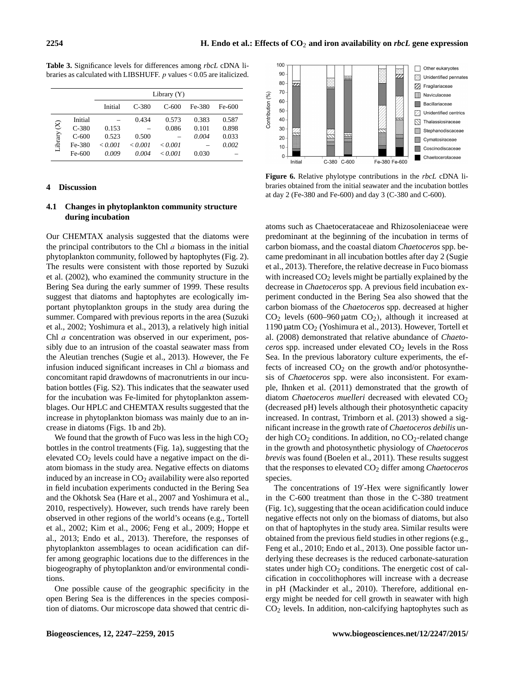|             |         | Library $(Y)$ |         |                  |        |        |  |  |
|-------------|---------|---------------|---------|------------------|--------|--------|--|--|
|             |         | Initial       | $C-380$ | $C-600$          | Fe-380 | Fe-600 |  |  |
| Library (X) | Initial |               | 0.434   | 0.573            | 0.383  | 0.587  |  |  |
|             | $C-380$ | 0.153         |         | 0.086            | 0.101  | 0.898  |  |  |
|             | $C-600$ | 0.523         | 0.500   |                  | 0.004  | 0.033  |  |  |
|             | Fe-380  | < 0.001       | < 0.001 | < 0.001          |        | 0.002  |  |  |
|             | Fe-600  | 0.009         | 0.004   | $\epsilon$ 0.001 | 0.030  |        |  |  |

**Table 3.** Significance levels for differences among *rbcL* cDNA libraries as calculated with LIBSHUFF. p values < 0.05 are italicized.

# **4 Discussion**

# **4.1 Changes in phytoplankton community structure during incubation**

Our CHEMTAX analysis suggested that the diatoms were the principal contributors to the Chl  $a$  biomass in the initial phytoplankton community, followed by haptophytes (Fig. 2). The results were consistent with those reported by Suzuki et al. (2002), who examined the community structure in the Bering Sea during the early summer of 1999. These results suggest that diatoms and haptophytes are ecologically important phytoplankton groups in the study area during the summer. Compared with previous reports in the area (Suzuki et al., 2002; Yoshimura et al., 2013), a relatively high initial Chl a concentration was observed in our experiment, possibly due to an intrusion of the coastal seawater mass from the Aleutian trenches (Sugie et al., 2013). However, the Fe infusion induced significant increases in Chl a biomass and concomitant rapid drawdowns of macronutrients in our incubation bottles (Fig. S2). This indicates that the seawater used for the incubation was Fe-limited for phytoplankton assemblages. Our HPLC and CHEMTAX results suggested that the increase in phytoplankton biomass was mainly due to an increase in diatoms (Figs. 1b and 2b).

We found that the growth of Fuco was less in the high  $CO<sub>2</sub>$ bottles in the control treatments (Fig. 1a), suggesting that the elevated  $CO<sub>2</sub>$  levels could have a negative impact on the diatom biomass in the study area. Negative effects on diatoms induced by an increase in  $CO<sub>2</sub>$  availability were also reported in field incubation experiments conducted in the Bering Sea and the Okhotsk Sea (Hare et al., 2007 and Yoshimura et al., 2010, respectively). However, such trends have rarely been observed in other regions of the world's oceans (e.g., Tortell et al., 2002; Kim et al., 2006; Feng et al., 2009; Hoppe et al., 2013; Endo et al., 2013). Therefore, the responses of phytoplankton assemblages to ocean acidification can differ among geographic locations due to the differences in the biogeography of phytoplankton and/or environmental conditions.

One possible cause of the geographic specificity in the open Bering Sea is the differences in the species composition of diatoms. Our microscope data showed that centric di-



**Figure 6.** Relative phylotype contributions in the *rbcL* cDNA libraries obtained from the initial seawater and the incubation bottles at day 2 (Fe-380 and Fe-600) and day 3 (C-380 and C-600).

atoms such as Chaetocerataceae and Rhizosoleniaceae were predominant at the beginning of the incubation in terms of carbon biomass, and the coastal diatom *Chaetoceros* spp. became predominant in all incubation bottles after day 2 (Sugie et al., 2013). Therefore, the relative decrease in Fuco biomass with increased  $CO<sub>2</sub>$  levels might be partially explained by the decrease in *Chaetoceros* spp. A previous field incubation experiment conducted in the Bering Sea also showed that the carbon biomass of the *Chaetoceros* spp. decreased at higher  $CO<sub>2</sub>$  levels (600–960 µatm  $CO<sub>2</sub>$ ), although it increased at 1190 µatm CO<sup>2</sup> (Yoshimura et al., 2013). However, Tortell et al. (2008) demonstrated that relative abundance of *Chaetoceros* spp. increased under elevated CO<sub>2</sub> levels in the Ross Sea. In the previous laboratory culture experiments, the effects of increased  $CO<sub>2</sub>$  on the growth and/or photosynthesis of *Chaetoceros* spp. were also inconsistent. For example, Ihnken et al. (2011) demonstrated that the growth of diatom *Chaetoceros muelleri* decreased with elevated CO<sub>2</sub> (decreased pH) levels although their photosynthetic capacity increased. In contrast, Trimborn et al. (2013) showed a significant increase in the growth rate of *Chaetoceros debilis* under high  $CO<sub>2</sub>$  conditions. In addition, no  $CO<sub>2</sub>$ -related change in the growth and photosynthetic physiology of *Chaetoceros brevis* was found (Boelen et al., 2011). These results suggest that the responses to elevated CO<sup>2</sup> differ among *Chaetoceros* species.

The concentrations of 19'-Hex were significantly lower in the C-600 treatment than those in the C-380 treatment (Fig. 1c), suggesting that the ocean acidification could induce negative effects not only on the biomass of diatoms, but also on that of haptophytes in the study area. Similar results were obtained from the previous field studies in other regions (e.g., Feng et al., 2010; Endo et al., 2013). One possible factor underlying these decreases is the reduced carbonate-saturation states under high  $CO<sub>2</sub>$  conditions. The energetic cost of calcification in coccolithophores will increase with a decrease in pH (Mackinder et al., 2010). Therefore, additional energy might be needed for cell growth in seawater with high  $CO<sub>2</sub>$  levels. In addition, non-calcifying haptophytes such as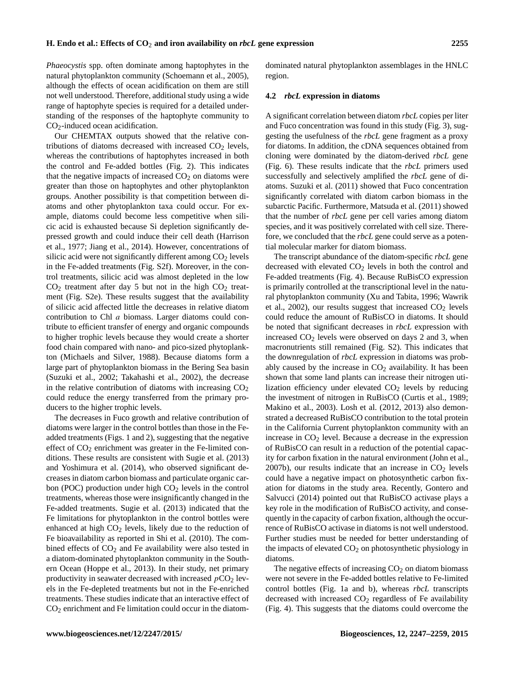*Phaeocystis* spp. often dominate among haptophytes in the natural phytoplankton community (Schoemann et al., 2005), although the effects of ocean acidification on them are still not well understood. Therefore, additional study using a wide range of haptophyte species is required for a detailed understanding of the responses of the haptophyte community to  $CO<sub>2</sub>$ -induced ocean acidification.

Our CHEMTAX outputs showed that the relative contributions of diatoms decreased with increased  $CO<sub>2</sub>$  levels, whereas the contributions of haptophytes increased in both the control and Fe-added bottles (Fig. 2). This indicates that the negative impacts of increased  $CO<sub>2</sub>$  on diatoms were greater than those on haptophytes and other phytoplankton groups. Another possibility is that competition between diatoms and other phytoplankton taxa could occur. For example, diatoms could become less competitive when silicic acid is exhausted because Si depletion significantly depressed growth and could induce their cell death (Harrison et al., 1977; Jiang et al., 2014). However, concentrations of silicic acid were not significantly different among  $CO<sub>2</sub>$  levels in the Fe-added treatments (Fig. S2f). Moreover, in the control treatments, silicic acid was almost depleted in the low  $CO<sub>2</sub>$  treatment after day 5 but not in the high  $CO<sub>2</sub>$  treatment (Fig. S2e). These results suggest that the availability of silicic acid affected little the decreases in relative diatom contribution to Chl a biomass. Larger diatoms could contribute to efficient transfer of energy and organic compounds to higher trophic levels because they would create a shorter food chain compared with nano- and pico-sized phytoplankton (Michaels and Silver, 1988). Because diatoms form a large part of phytoplankton biomass in the Bering Sea basin (Suzuki et al., 2002; Takahashi et al., 2002), the decrease in the relative contribution of diatoms with increasing  $CO<sub>2</sub>$ could reduce the energy transferred from the primary producers to the higher trophic levels.

The decreases in Fuco growth and relative contribution of diatoms were larger in the control bottles than those in the Feadded treatments (Figs. 1 and 2), suggesting that the negative effect of  $CO<sub>2</sub>$  enrichment was greater in the Fe-limited conditions. These results are consistent with Sugie et al. (2013) and Yoshimura et al. (2014), who observed significant decreases in diatom carbon biomass and particulate organic carbon (POC) production under high  $CO<sub>2</sub>$  levels in the control treatments, whereas those were insignificantly changed in the Fe-added treatments. Sugie et al. (2013) indicated that the Fe limitations for phytoplankton in the control bottles were enhanced at high  $CO<sub>2</sub>$  levels, likely due to the reduction of Fe bioavailability as reported in Shi et al. (2010). The combined effects of  $CO<sub>2</sub>$  and Fe availability were also tested in a diatom-dominated phytoplankton community in the Southern Ocean (Hoppe et al., 2013). In their study, net primary productivity in seawater decreased with increased  $pCO<sub>2</sub>$  levels in the Fe-depleted treatments but not in the Fe-enriched treatments. These studies indicate that an interactive effect of CO<sup>2</sup> enrichment and Fe limitation could occur in the diatomdominated natural phytoplankton assemblages in the HNLC region.

#### **4.2** *rbcL* **expression in diatoms**

A significant correlation between diatom *rbcL* copies per liter and Fuco concentration was found in this study (Fig. 3), suggesting the usefulness of the *rbcL* gene fragment as a proxy for diatoms. In addition, the cDNA sequences obtained from cloning were dominated by the diatom-derived *rbcL* gene (Fig. 6). These results indicate that the *rbcL* primers used successfully and selectively amplified the *rbcL* gene of diatoms. Suzuki et al. (2011) showed that Fuco concentration significantly correlated with diatom carbon biomass in the subarctic Pacific. Furthermore, Matsuda et al. (2011) showed that the number of *rbcL* gene per cell varies among diatom species, and it was positively correlated with cell size. Therefore, we concluded that the *rbcL* gene could serve as a potential molecular marker for diatom biomass.

The transcript abundance of the diatom-specific *rbcL* gene decreased with elevated  $CO<sub>2</sub>$  levels in both the control and Fe-added treatments (Fig. 4). Because RuBisCO expression is primarily controlled at the transcriptional level in the natural phytoplankton community (Xu and Tabita, 1996; Wawrik et al., 2002), our results suggest that increased  $CO<sub>2</sub>$  levels could reduce the amount of RuBisCO in diatoms. It should be noted that significant decreases in *rbcL* expression with increased  $CO<sub>2</sub>$  levels were observed on days 2 and 3, when macronutrients still remained (Fig. S2). This indicates that the downregulation of *rbcL* expression in diatoms was probably caused by the increase in  $CO<sub>2</sub>$  availability. It has been shown that some land plants can increase their nitrogen utilization efficiency under elevated  $CO<sub>2</sub>$  levels by reducing the investment of nitrogen in RuBisCO (Curtis et al., 1989; Makino et al., 2003). Losh et al. (2012, 2013) also demonstrated a decreased RuBisCO contribution to the total protein in the California Current phytoplankton community with an increase in  $CO<sub>2</sub>$  level. Because a decrease in the expression of RuBisCO can result in a reduction of the potential capacity for carbon fixation in the natural environment (John et al., 2007b), our results indicate that an increase in  $CO<sub>2</sub>$  levels could have a negative impact on photosynthetic carbon fixation for diatoms in the study area. Recently, Gontero and Salvucci (2014) pointed out that RuBisCO activase plays a key role in the modification of RuBisCO activity, and consequently in the capacity of carbon fixation, although the occurrence of RuBisCO activase in diatoms is not well understood. Further studies must be needed for better understanding of the impacts of elevated  $CO<sub>2</sub>$  on photosynthetic physiology in diatoms.

The negative effects of increasing  $CO<sub>2</sub>$  on diatom biomass were not severe in the Fe-added bottles relative to Fe-limited control bottles (Fig. 1a and b), whereas *rbcL* transcripts decreased with increased  $CO<sub>2</sub>$  regardless of Fe availability (Fig. 4). This suggests that the diatoms could overcome the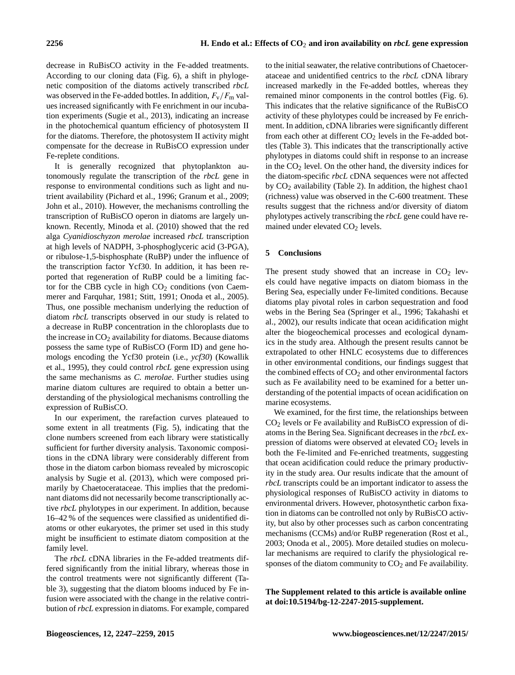decrease in RuBisCO activity in the Fe-added treatments. According to our cloning data (Fig. 6), a shift in phylogenetic composition of the diatoms actively transcribed *rbcL* was observed in the Fe-added bottles. In addition,  $F_v/F_m$  values increased significantly with Fe enrichment in our incubation experiments (Sugie et al., 2013), indicating an increase in the photochemical quantum efficiency of photosystem II for the diatoms. Therefore, the photosystem II activity might compensate for the decrease in RuBisCO expression under Fe-replete conditions.

It is generally recognized that phytoplankton autonomously regulate the transcription of the *rbcL* gene in response to environmental conditions such as light and nutrient availability (Pichard et al., 1996; Granum et al., 2009; John et al., 2010). However, the mechanisms controlling the transcription of RuBisCO operon in diatoms are largely unknown. Recently, Minoda et al. (2010) showed that the red alga *Cyanidioschyzon merolae* increased *rbcL* transcription at high levels of NADPH, 3-phosphoglyceric acid (3-PGA), or ribulose-1,5-bisphosphate (RuBP) under the influence of the transcription factor Ycf30. In addition, it has been reported that regeneration of RuBP could be a limiting factor for the CBB cycle in high  $CO<sub>2</sub>$  conditions (von Caemmerer and Farquhar, 1981; Stitt, 1991; Onoda et al., 2005). Thus, one possible mechanism underlying the reduction of diatom *rbcL* transcripts observed in our study is related to a decrease in RuBP concentration in the chloroplasts due to the increase in  $CO<sub>2</sub>$  availability for diatoms. Because diatoms possess the same type of RuBisCO (Form ID) and gene homologs encoding the Ycf30 protein (i.e., *ycf30*) (Kowallik et al., 1995), they could control *rbcL* gene expression using the same mechanisms as *C. merolae*. Further studies using marine diatom cultures are required to obtain a better understanding of the physiological mechanisms controlling the expression of RuBisCO.

In our experiment, the rarefaction curves plateaued to some extent in all treatments (Fig. 5), indicating that the clone numbers screened from each library were statistically sufficient for further diversity analysis. Taxonomic compositions in the cDNA library were considerably different from those in the diatom carbon biomass revealed by microscopic analysis by Sugie et al. (2013), which were composed primarily by Chaetocerataceae. This implies that the predominant diatoms did not necessarily become transcriptionally active *rbcL* phylotypes in our experiment. In addition, because 16–42 % of the sequences were classified as unidentified diatoms or other eukaryotes, the primer set used in this study might be insufficient to estimate diatom composition at the family level.

The *rbcL* cDNA libraries in the Fe-added treatments differed significantly from the initial library, whereas those in the control treatments were not significantly different (Table 3), suggesting that the diatom blooms induced by Fe infusion were associated with the change in the relative contribution of*rbcL* expression in diatoms. For example, compared to the initial seawater, the relative contributions of Chaetocerataceae and unidentified centrics to the *rbcL* cDNA library increased markedly in the Fe-added bottles, whereas they remained minor components in the control bottles (Fig. 6). This indicates that the relative significance of the RuBisCO activity of these phylotypes could be increased by Fe enrichment. In addition, cDNA libraries were significantly different from each other at different  $CO<sub>2</sub>$  levels in the Fe-added bottles (Table 3). This indicates that the transcriptionally active phylotypes in diatoms could shift in response to an increase in the  $CO<sub>2</sub>$  level. On the other hand, the diversity indices for the diatom-specific *rbcL* cDNA sequences were not affected by  $CO<sub>2</sub>$  availability (Table 2). In addition, the highest chao1 (richness) value was observed in the C-600 treatment. These results suggest that the richness and/or diversity of diatom phylotypes actively transcribing the *rbcL* gene could have remained under elevated CO<sub>2</sub> levels.

# **5 Conclusions**

The present study showed that an increase in  $CO<sub>2</sub>$  levels could have negative impacts on diatom biomass in the Bering Sea, especially under Fe-limited conditions. Because diatoms play pivotal roles in carbon sequestration and food webs in the Bering Sea (Springer et al., 1996; Takahashi et al., 2002), our results indicate that ocean acidification might alter the biogeochemical processes and ecological dynamics in the study area. Although the present results cannot be extrapolated to other HNLC ecosystems due to differences in other environmental conditions, our findings suggest that the combined effects of  $CO<sub>2</sub>$  and other environmental factors such as Fe availability need to be examined for a better understanding of the potential impacts of ocean acidification on marine ecosystems.

We examined, for the first time, the relationships between  $CO<sub>2</sub>$  levels or Fe availability and RuBisCO expression of diatoms in the Bering Sea. Significant decreases in the *rbcL* expression of diatoms were observed at elevated  $CO<sub>2</sub>$  levels in both the Fe-limited and Fe-enriched treatments, suggesting that ocean acidification could reduce the primary productivity in the study area. Our results indicate that the amount of *rbcL* transcripts could be an important indicator to assess the physiological responses of RuBisCO activity in diatoms to environmental drivers. However, photosynthetic carbon fixation in diatoms can be controlled not only by RuBisCO activity, but also by other processes such as carbon concentrating mechanisms (CCMs) and/or RuBP regeneration (Rost et al., 2003; Onoda et al., 2005). More detailed studies on molecular mechanisms are required to clarify the physiological responses of the diatom community to  $CO<sub>2</sub>$  and Fe availability.

**The Supplement related to this article is available online at [doi:10.5194/bg-12-2247-2015-supplement.](http://dx.doi.org/10.5194/bg-12-2247-2015-supplement)**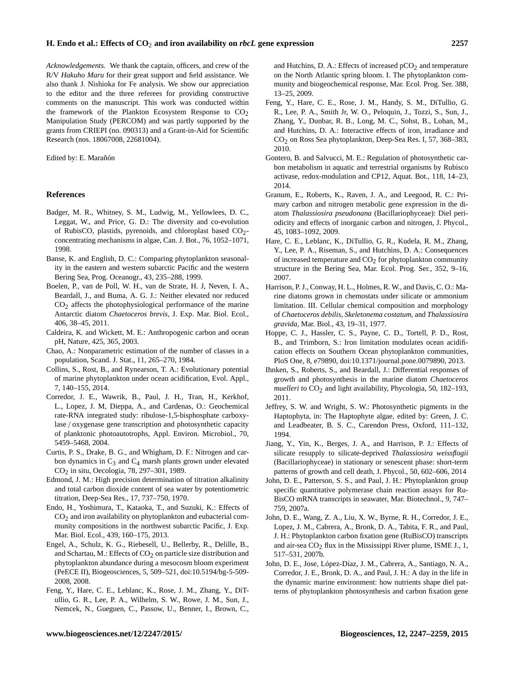*Acknowledgements.* We thank the captain, officers, and crew of the R/V *Hakuho Maru* for their great support and field assistance. We also thank J. Nishioka for Fe analysis. We show our appreciation to the editor and the three referees for providing constructive comments on the manuscript. This work was conducted within the framework of the Plankton Ecosystem Response to  $CO<sub>2</sub>$ Manipulation Study (PERCOM) and was partly supported by the grants from CRIEPI (no. 090313) and a Grant-in-Aid for Scientific Research (nos. 18067008, 22681004).

#### Edited by: E. Marañón

#### **References**

- Badger, M. R., Whitney, S. M., Ludwig, M., Yellowlees, D. C., Leggat, W., and Price, G. D.: The diversity and co-evolution of RubisCO, plastids, pyrenoids, and chloroplast based CO2 concentrating mechanisms in algae, Can. J. Bot., 76, 1052–1071, 1998.
- Banse, K. and English, D. C.: Comparing phytoplankton seasonality in the eastern and western subarctic Pacific and the western Bering Sea, Prog. Oceanogr., 43, 235–288, 1999.
- Boelen, P., van de Poll, W. H., van de Strate, H. J, Neven, I. A., Beardall, J., and Buma, A. G. J.: Neither elevated nor reduced CO2 affects the photophysiological performance of the marine Antarctic diatom *Chaetoceros brevis*, J. Exp. Mar. Biol. Ecol., 406, 38–45, 2011.
- Caldeira, K. and Wickett, M. E.: Anthropogenic carbon and ocean pH, Nature, 425, 365, 2003.
- Chao, A.: Nonparametric estimation of the number of classes in a population, Scand. J. Stat., 11, 265–270, 1984.
- Collins, S., Rost, B., and Rynearson, T. A.: Evolutionary potential of marine phytoplankton under ocean acidification, Evol. Appl., 7, 140–155, 2014.
- Corredor, J. E., Wawrik, B., Paul, J. H., Tran, H., Kerkhof, L., Lopez, J. M, Dieppa, A., and Cardenas, O.: Geochemical rate-RNA integrated study: ribulose-1,5-bisphosphate carboxylase / oxygenase gene transcription and photosynthetic capacity of planktonic photoautotrophs, Appl. Environ. Microbiol., 70, 5459–5468, 2004.
- Curtis, P. S., Drake, B. G., and Whigham, D. F.: Nitrogen and carbon dynamics in  $C_3$  and  $C_4$  marsh plants grown under elevated CO2 in situ, Oecologia, 78, 297–301, 1989.
- Edmond, J. M.: High precision determination of titration alkalinity and total carbon dioxide content of sea water by potentiometric titration, Deep-Sea Res., 17, 737–750, 1970.
- Endo, H., Yoshimura, T., Kataoka, T., and Suzuki, K.: Effects of CO2 and iron availability on phytoplankton and eubacterial community compositions in the northwest subarctic Pacific, J. Exp. Mar. Biol. Ecol., 439, 160–175, 2013.
- Engel, A., Schulz, K. G., Riebesell, U., Bellerby, R., Delille, B., and Schartau, M.: Effects of  $CO<sub>2</sub>$  on particle size distribution and phytoplankton abundance during a mesocosm bloom experiment (PeECE II), Biogeosciences, 5, 509–521, doi[:10.5194/bg-5-509-](http://dx.doi.org/10.5194/bg-5-509-2008) [2008,](http://dx.doi.org/10.5194/bg-5-509-2008) 2008.
- Feng, Y., Hare, C. E., Leblanc, K., Rose, J. M., Zhang, Y., DiTullio, G. R., Lee, P. A., Wilhelm, S. W., Rowe, J. M., Sun, J., Nemcek, N., Gueguen, C., Passow, U., Benner, I., Brown, C.,

and Hutchins, D. A.: Effects of increased  $pCO<sub>2</sub>$  and temperature on the North Atlantic spring bloom. I. The phytoplankton community and biogeochemical response, Mar. Ecol. Prog. Ser. 388, 13–25, 2009.

- Feng, Y., Hare, C. E., Rose, J. M., Handy, S. M., DiTullio, G. R., Lee, P. A., Smith Jr, W. O., Peloquin, J., Tozzi, S., Sun, J., Zhang, Y., Dunbar, R. B., Long, M. C., Sohst, B., Lohan, M., and Hutchins, D. A.: Interactive effects of iron, irradiance and CO2 on Ross Sea phytoplankton, Deep-Sea Res. I, 57, 368–383, 2010.
- Gontero, B. and Salvucci, M. E.: Regulation of photosynthetic carbon metabolism in aquatic and terrestrial organisms by Rubisco activase, redox-modulation and CP12, Aquat. Bot., 118, 14–23, 2014.
- Granum, E., Roberts, K., Raven, J. A., and Leegood, R. C.: Primary carbon and nitrogen metabolic gene expression in the diatom *Thalassiosira pseudonana* (Bacillariophyceae): Diel periodicity and effects of inorganic carbon and nitrogen, J. Phycol., 45, 1083–1092, 2009.
- Hare, C. E., Leblanc, K., DiTullio, G. R., Kudela, R. M., Zhang, Y., Lee, P. A., Riseman, S., and Hutchins, D. A.: Consequences of increased temperature and  $CO<sub>2</sub>$  for phytoplankton community structure in the Bering Sea, Mar. Ecol. Prog. Ser., 352, 9–16, 2007.
- Harrison, P. J., Conway, H. L., Holmes, R. W., and Davis, C. O.: Marine diatoms grown in chemostats under silicate or ammonium limitation. III. Cellular chemical composition and morphology of *Chaetoceros debilis*, *Skeletonema costatum*, and *Thalassiosira gravida*, Mar. Biol., 43, 19–31, 1977.
- Hoppe, C. J., Hassler, C. S., Payne, C. D., Tortell, P. D., Rost, B., and Trimborn, S.: Iron limitation modulates ocean acidification effects on Southern Ocean phytoplankton communities, PloS One, 8, e79890, doi[:10.1371/journal.pone.0079890,](http://dx.doi.org/10.1371/journal.pone.0079890) 2013.
- Ihnken, S., Roberts, S., and Beardall, J.: Differential responses of growth and photosynthesis in the marine diatom *Chaetoceros muelleri* to  $CO<sub>2</sub>$  and light availability, Phycologia, 50, 182-193, 2011.
- Jeffrey, S. W. and Wright, S. W.: Photosynthetic pigments in the Haptophyta, in: The Haptophyte algae, edited by: Green, J. C. and Leadbeater, B. S. C., Carendon Press, Oxford, 111–132, 1994.
- Jiang, Y., Yin, K., Berges, J. A., and Harrison, P. J.: Effects of silicate resupply to silicate-deprived *Thalassiosira weissflogii* (Bacillariophyceae) in stationary or senescent phase: short-term patterns of growth and cell death, J. Phycol., 50, 602–606, 2014
- John, D. E., Patterson, S. S., and Paul, J. H.: Phytoplankton group specific quantitative polymerase chain reaction assays for Ru-BisCO mRNA transcripts in seawater, Mar. Biotechnol., 9, 747– 759, 2007a.
- John, D. E., Wang, Z. A., Liu, X. W., Byrne, R. H., Corredor, J. E., Lopez, J. M., Cabrera, A., Bronk, D. A., Tabita, F. R., and Paul, J. H.: Phytoplankton carbon fixation gene (RuBisCO) transcripts and air-sea  $CO<sub>2</sub>$  flux in the Mississippi River plume, ISME J., 1, 517–531, 2007b.
- John, D. E., Jose, López-Díaz, J. M., Cabrera, A., Santiago, N. A., Corredor, J. E., Bronk, D. A., and Paul, J. H.: A day in the life in the dynamic marine environment: how nutrients shape diel patterns of phytoplankton photosynthesis and carbon fixation gene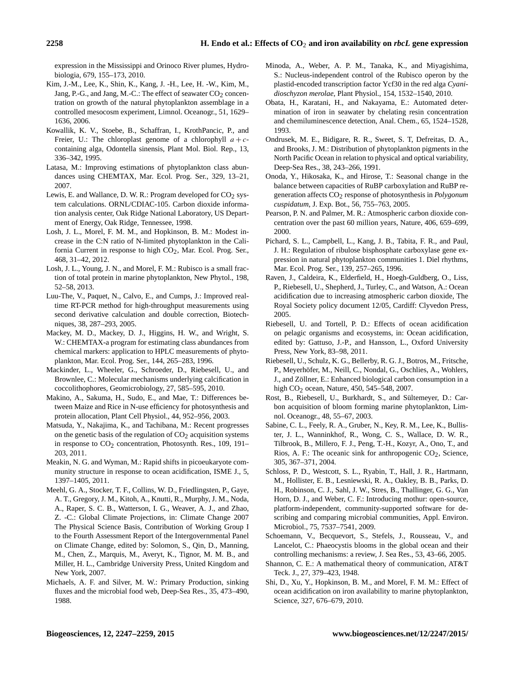expression in the Mississippi and Orinoco River plumes, Hydrobiologia, 679, 155–173, 2010.

- Kim, J.-M., Lee, K., Shin, K., Kang, J. -H., Lee, H. -W., Kim, M., Jang, P.-G., and Jang, M.-C.: The effect of seawater CO<sub>2</sub> concentration on growth of the natural phytoplankton assemblage in a controlled mesocosm experiment, Limnol. Oceanogr., 51, 1629– 1636, 2006.
- Kowallik, K. V., Stoebe, B., Schaffran, I., KrothPancic, P., and Freier, U.: The chloroplast genome of a chlorophyll  $a + c$ containing alga, Odontella sinensis, Plant Mol. Biol. Rep., 13, 336–342, 1995.
- Latasa, M.: Improving estimations of phytoplankton class abundances using CHEMTAX, Mar. Ecol. Prog. Ser., 329, 13–21, 2007.
- Lewis, E. and Wallance, D. W. R.: Program developed for  $CO<sub>2</sub>$  system calculations. ORNL/CDIAC-105. Carbon dioxide information analysis center, Oak Ridge National Laboratory, US Department of Energy, Oak Ridge, Tennessee, 1998.
- Losh, J. L., Morel, F. M. M., and Hopkinson, B. M.: Modest increase in the C:N ratio of N-limited phytoplankton in the California Current in response to high CO<sub>2</sub>, Mar. Ecol. Prog. Ser., 468, 31–42, 2012.
- Losh, J. L., Young, J. N., and Morel, F. M.: Rubisco is a small fraction of total protein in marine phytoplankton, New Phytol., 198, 52–58, 2013.
- Luu-The, V., Paquet, N., Calvo, E., and Cumps, J.: Improved realtime RT-PCR method for high-throughput measurements using second derivative calculation and double correction, Biotechniques, 38, 287–293, 2005.
- Mackey, M. D., Mackey, D. J., Higgins, H. W., and Wright, S. W.: CHEMTAX-a program for estimating class abundances from chemical markers: application to HPLC measurements of phytoplankton, Mar. Ecol. Prog. Ser., 144, 265–283, 1996.
- Mackinder, L., Wheeler, G., Schroeder, D., Riebesell, U., and Brownlee, C.: Molecular mechanisms underlying calcification in coccolithophores, Geomicrobiology, 27, 585–595, 2010.
- Makino, A., Sakuma, H., Sudo, E., and Mae, T.: Differences between Maize and Rice in N-use efficiency for photosynthesis and protein allocation, Plant Cell Physiol., 44, 952–956, 2003.
- Matsuda, Y., Nakajima, K., and Tachibana, M.: Recent progresses on the genetic basis of the regulation of  $CO<sub>2</sub>$  acquisition systems in response to  $CO<sub>2</sub>$  concentration, Photosynth. Res., 109, 191– 203, 2011.
- Meakin, N. G. and Wyman, M.: Rapid shifts in picoeukaryote community structure in response to ocean acidification, ISME J., 5, 1397–1405, 2011.
- Meehl, G. A., Stocker, T. F., Collins, W. D., Friedlingsten, P., Gaye, A. T., Gregory, J. M., Kitoh, A., Knutti, R., Murphy, J. M., Noda, A., Raper, S. C. B., Watterson, I. G., Weaver, A. J., and Zhao, Z. -C.: Global Climate Projections, in: Climate Change 2007 The Physical Science Basis, Contribution of Working Group I to the Fourth Assessment Report of the Intergovernmental Panel on Climate Change, edited by: Solomon, S., Qin, D., Manning, M., Chen, Z., Marquis, M., Averyt, K., Tignor, M. M. B., and Miller, H. L., Cambridge University Press, United Kingdom and New York, 2007.
- Michaels, A. F. and Silver, M. W.: Primary Production, sinking fluxes and the microbial food web, Deep-Sea Res., 35, 473–490, 1988.
- Minoda, A., Weber, A. P. M., Tanaka, K., and Miyagishima, S.: Nucleus-independent control of the Rubisco operon by the plastid-encoded transcription factor Ycf30 in the red alga *Cyanidioschyzon merolae*, Plant Physiol., 154, 1532–1540, 2010.
- Obata, H., Karatani, H., and Nakayama, E.: Automated determination of iron in seawater by chelating resin concentration and chemiluminescence detection, Anal. Chem., 65, 1524–1528, 1993.
- Ondrusek, M. E., Bidigare, R. R., Sweet, S. T, Defreitas, D. A., and Brooks, J. M.: Distribution of phytoplankton pigments in the North Pacific Ocean in relation to physical and optical variability, Deep-Sea Res., 38, 243–266, 1991.
- Onoda, Y., Hikosaka, K., and Hirose, T.: Seasonal change in the balance between capacities of RuBP carboxylation and RuBP regeneration affects CO2 response of photosynthesis in *Polygonum cuspidatum*, J. Exp. Bot., 56, 755–763, 2005.
- Pearson, P. N. and Palmer, M. R.: Atmospheric carbon dioxide concentration over the past 60 million years, Nature, 406, 659–699, 2000.
- Pichard, S. L., Campbell, L., Kang, J. B., Tabita, F. R., and Paul, J. H.: Regulation of ribulose bisphosphate carboxylase gene expression in natural phytoplankton communities 1. Diel rhythms, Mar. Ecol. Prog. Ser., 139, 257–265, 1996.
- Raven, J., Caldeira, K., Elderfield, H., Hoegh-Guldberg, O., Liss, P., Riebesell, U., Shepherd, J., Turley, C., and Watson, A.: Ocean acidification due to increasing atmospheric carbon dioxide, The Royal Society policy document 12/05, Cardiff: Clyvedon Press, 2005.
- Riebesell, U. and Tortell, P. D.: Effects of ocean acidification on pelagic organisms and ecosystems, in: Ocean acidification, edited by: Gattuso, J.-P., and Hansson, L., Oxford University Press, New York, 83–98, 2011.
- Riebesell, U., Schulz, K. G., Bellerby, R. G. J., Botros, M., Fritsche, P., Meyerhöfer, M., Neill, C., Nondal, G., Oschlies, A., Wohlers, J., and Zöllner, E.: Enhanced biological carbon consumption in a high CO<sub>2</sub> ocean, Nature, 450, 545–548, 2007.
- Rost, B., Riebesell, U., Burkhardt, S., and Sültemeyer, D.: Carbon acquisition of bloom forming marine phytoplankton, Limnol. Oceanogr., 48, 55–67, 2003.
- Sabine, C. L., Feely, R. A., Gruber, N., Key, R. M., Lee, K., Bullister, J. L., Wanninkhof, R., Wong, C. S., Wallace, D. W. R., Tilbrook, B., Millero, F. J., Peng, T.-H., Kozyr, A., Ono, T., and Rios, A. F.: The oceanic sink for anthropogenic  $CO<sub>2</sub>$ , Science, 305, 367–371, 2004.
- Schloss, P. D., Westcott, S. L., Ryabin, T., Hall, J. R., Hartmann, M., Hollister, E. B., Lesniewski, R. A., Oakley, B. B., Parks, D. H., Robinson, C. J., Sahl, J. W., Stres, B., Thallinger, G. G., Van Horn, D. J., and Weber, C. F.: Introducing mothur: open-source, platform-independent, community-supported software for describing and comparing microbial communities, Appl. Environ. Microbiol., 75, 7537–7541, 2009.
- Schoemann, V., Becquevort, S., Stefels, J., Rousseau, V., and Lancelot, C.: Phaeocystis blooms in the global ocean and their controlling mechanisms: a review, J. Sea Res., 53, 43–66, 2005.
- Shannon, C. E.: A mathematical theory of communication, AT&T Teck. J., 27, 379–423, 1948.
- Shi, D., Xu, Y., Hopkinson, B. M., and Morel, F. M. M.: Effect of ocean acidification on iron availability to marine phytoplankton, Science, 327, 676–679, 2010.